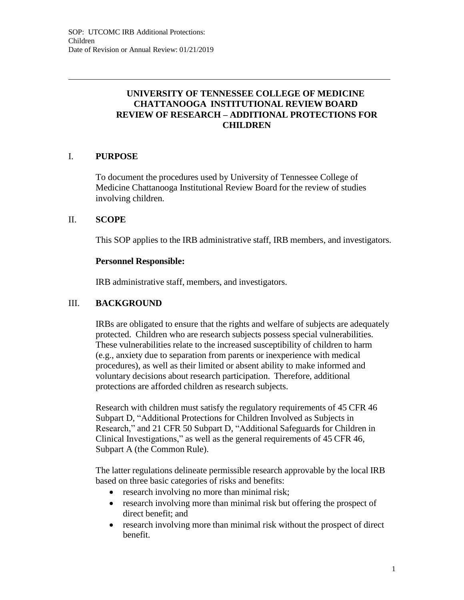# **UNIVERSITY OF TENNESSEE COLLEGE OF MEDICINE CHATTANOOGA INSTITUTIONAL REVIEW BOARD REVIEW OF RESEARCH – ADDITIONAL PROTECTIONS FOR CHILDREN**

### I. **PURPOSE**

To document the procedures used by University of Tennessee College of Medicine Chattanooga Institutional Review Board for the review of studies involving children.

### II. **SCOPE**

This SOP applies to the IRB administrative staff, IRB members, and investigators.

#### **Personnel Responsible:**

IRB administrative staff, members, and investigators.

### III. **BACKGROUND**

IRBs are obligated to ensure that the rights and welfare of subjects are adequately protected. Children who are research subjects possess special vulnerabilities. These vulnerabilities relate to the increased susceptibility of children to harm (e.g., anxiety due to separation from parents or inexperience with medical procedures), as well as their limited or absent ability to make informed and voluntary decisions about research participation. Therefore, additional protections are afforded children as research subjects.

Research with children must satisfy the regulatory requirements of 45 CFR 46 Subpart D, "Additional Protections for Children Involved as Subjects in Research," and 21 CFR 50 Subpart D, "Additional Safeguards for Children in Clinical Investigations," as well as the general requirements of 45 CFR 46, Subpart A (the Common Rule).

The latter regulations delineate permissible research approvable by the local IRB based on three basic categories of risks and benefits:

- research involving no more than minimal risk;
- research involving more than minimal risk but offering the prospect of direct benefit; and
- research involving more than minimal risk without the prospect of direct benefit.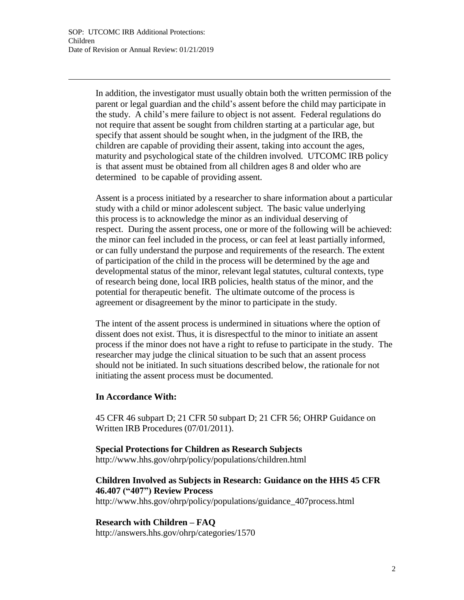In addition, the investigator must usually obtain both the written permission of the parent or legal guardian and the child's assent before the child may participate in the study. A child's mere failure to object is not assent. Federal regulations do not require that assent be sought from children starting at a particular age, but specify that assent should be sought when, in the judgment of the IRB, the children are capable of providing their assent, taking into account the ages, maturity and psychological state of the children involved. UTCOMC IRB policy is that assent must be obtained from all children ages 8 and older who are determined to be capable of providing assent.

Assent is a process initiated by a researcher to share information about a particular study with a child or minor adolescent subject. The basic value underlying this process is to acknowledge the minor as an individual deserving of respect. During the assent process, one or more of the following will be achieved: the minor can feel included in the process, or can feel at least partially informed, or can fully understand the purpose and requirements of the research. The extent of participation of the child in the process will be determined by the age and developmental status of the minor, relevant legal statutes, cultural contexts, type of research being done, local IRB policies, health status of the minor, and the potential for therapeutic benefit. The ultimate outcome of the process is agreement or disagreement by the minor to participate in the study.

The intent of the assent process is undermined in situations where the option of dissent does not exist. Thus, it is disrespectful to the minor to initiate an assent process if the minor does not have a right to refuse to participate in the study. The researcher may judge the clinical situation to be such that an assent process should not be initiated. In such situations described below, the rationale for not initiating the assent process must be documented.

#### **In Accordance With:**

45 CFR 46 subpart D; 21 CFR 50 subpart D; 21 CFR 56; OHRP Guidance on Written IRB Procedures (07/01/2011).

**Special Protections for Children as Research Subjects** <http://www.hhs.gov/ohrp/policy/populations/children.html>

# **Children Involved as Subjects in Research: Guidance on the HHS 45 CFR 46.407 ("407") Review Process**

[http://www.hhs.gov/ohrp/policy/populations/guidance\\_407process.html](http://www.hhs.gov/ohrp/policy/populations/guidance_407process.html)

# **Research with Children – FAQ**

<http://answers.hhs.gov/ohrp/categories/1570>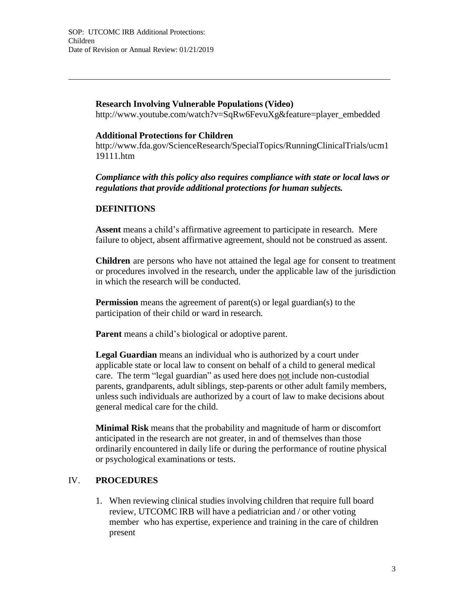### **Research Involving Vulnerable Populations (Video)**

[http://www.youtube.com/watch?v=SqRw6FevuXg&feature=player\\_embedded](http://www.youtube.com/watch?v=SqRw6FevuXg&feature=player_embedded)

#### **Additional Protections for Children**

<http://www.fda.gov/ScienceResearch/SpecialTopics/RunningClinicalTrials/ucm1> 19111.htm

*Compliance with this policy also requires compliance with state or local laws or regulations that provide additional protections for human subjects.*

### **DEFINITIONS**

**Assent** means a child's affirmative agreement to participate in research. Mere failure to object, absent affirmative agreement, should not be construed as assent.

**Children** are persons who have not attained the legal age for consent to treatment or procedures involved in the research, under the applicable law of the jurisdiction in which the research will be conducted.

**Permission** means the agreement of parent(s) or legal guardian(s) to the participation of their child or ward in research.

**Parent** means a child's biological or adoptive parent.

**Legal Guardian** means an individual who is authorized by a court under applicable state or local law to consent on behalf of a child to general medical care. The term "legal guardian" as used here does not include non-custodial parents, grandparents, adult siblings, step-parents or other adult family members, unless such individuals are authorized by a court of law to make decisions about general medical care for the child.

**Minimal Risk** means that the probability and magnitude of harm or discomfort anticipated in the research are not greater, in and of themselves than those ordinarily encountered in daily life or during the performance of routine physical or psychological examinations or tests.

### IV. **PROCEDURES**

1. When reviewing clinical studies involving children that require full board review, UTCOMC IRB will have a pediatrician and / or other voting member who has expertise, experience and training in the care of children present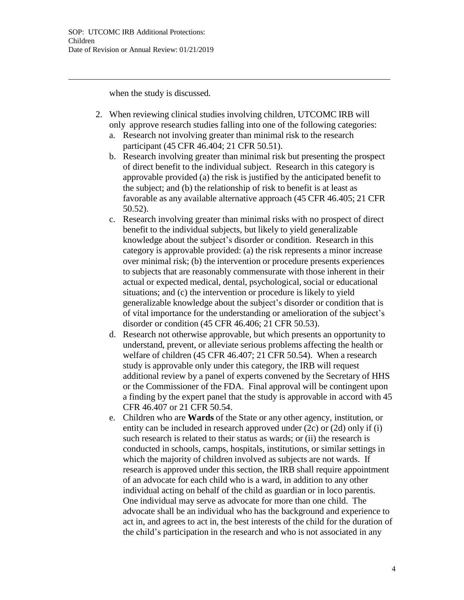when the study is discussed.

- 2. When reviewing clinical studies involving children, UTCOMC IRB will only approve research studies falling into one of the following categories:
	- a. Research not involving greater than minimal risk to the research participant (45 CFR 46.404; 21 CFR 50.51).
	- b. Research involving greater than minimal risk but presenting the prospect of direct benefit to the individual subject. Research in this category is approvable provided (a) the risk is justified by the anticipated benefit to the subject; and (b) the relationship of risk to benefit is at least as favorable as any available alternative approach (45 CFR 46.405; 21 CFR 50.52).
	- c. Research involving greater than minimal risks with no prospect of direct benefit to the individual subjects, but likely to yield generalizable knowledge about the subject's disorder or condition. Research in this category is approvable provided: (a) the risk represents a minor increase over minimal risk; (b) the intervention or procedure presents experiences to subjects that are reasonably commensurate with those inherent in their actual or expected medical, dental, psychological, social or educational situations; and (c) the intervention or procedure is likely to yield generalizable knowledge about the subject's disorder or condition that is of vital importance for the understanding or amelioration of the subject's disorder or condition (45 CFR 46.406; 21 CFR 50.53).
	- d. Research not otherwise approvable, but which presents an opportunity to understand, prevent, or alleviate serious problems affecting the health or welfare of children (45 CFR 46.407; 21 CFR 50.54). When a research study is approvable only under this category, the IRB will request additional review by a panel of experts convened by the Secretary of HHS or the Commissioner of the FDA. Final approval will be contingent upon a finding by the expert panel that the study is approvable in accord with 45 CFR 46.407 or 21 CFR 50.54.
	- e. Children who are **Wards** of the State or any other agency, institution, or entity can be included in research approved under (2c) or (2d) only if (i) such research is related to their status as wards; or (ii) the research is conducted in schools, camps, hospitals, institutions, or similar settings in which the majority of children involved as subjects are not wards. If research is approved under this section, the IRB shall require appointment of an advocate for each child who is a ward, in addition to any other individual acting on behalf of the child as guardian or in loco parentis. One individual may serve as advocate for more than one child. The advocate shall be an individual who has the background and experience to act in, and agrees to act in, the best interests of the child for the duration of the child's participation in the research and who is not associated in any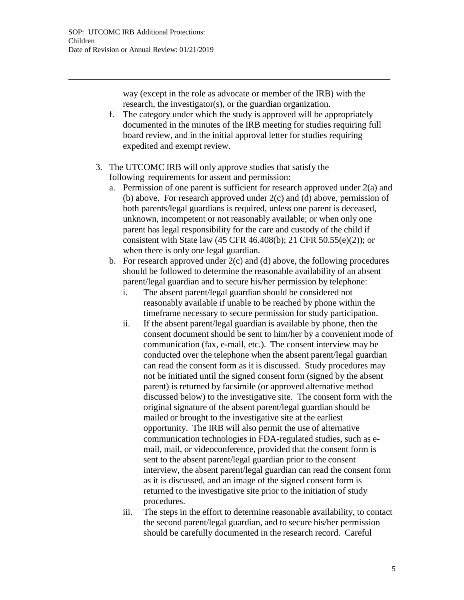way (except in the role as advocate or member of the IRB) with the research, the investigator(s), or the guardian organization.

- f. The category under which the study is approved will be appropriately documented in the minutes of the IRB meeting for studies requiring full board review, and in the initial approval letter for studies requiring expedited and exempt review.
- 3. The UTCOMC IRB will only approve studies that satisfy the following requirements for assent and permission:
	- a. Permission of one parent is sufficient for research approved under  $2(a)$  and (b) above. For research approved under 2(c) and (d) above, permission of both parents/legal guardians is required, unless one parent is deceased, unknown, incompetent or not reasonably available; or when only one parent has legal responsibility for the care and custody of the child if consistent with State law (45 CFR 46.408(b); 21 CFR 50.55(e)(2)); or when there is only one legal guardian.
	- b. For research approved under 2(c) and (d) above, the following procedures should be followed to determine the reasonable availability of an absent parent/legal guardian and to secure his/her permission by telephone:
		- i. The absent parent/legal guardian should be considered not reasonably available if unable to be reached by phone within the timeframe necessary to secure permission for study participation.
		- ii. If the absent parent/legal guardian is available by phone, then the consent document should be sent to him/her by a convenient mode of communication (fax, e-mail, etc.). The consent interview may be conducted over the telephone when the absent parent/legal guardian can read the consent form as it is discussed. Study procedures may not be initiated until the signed consent form (signed by the absent parent) is returned by facsimile (or approved alternative method discussed below) to the investigative site. The consent form with the original signature of the absent parent/legal guardian should be mailed or brought to the investigative site at the earliest opportunity. The IRB will also permit the use of alternative communication technologies in FDA-regulated studies, such as email, mail, or videoconference, provided that the consent form is sent to the absent parent/legal guardian prior to the consent interview, the absent parent/legal guardian can read the consent form as it is discussed, and an image of the signed consent form is returned to the investigative site prior to the initiation of study procedures.
		- iii. The steps in the effort to determine reasonable availability, to contact the second parent/legal guardian, and to secure his/her permission should be carefully documented in the research record. Careful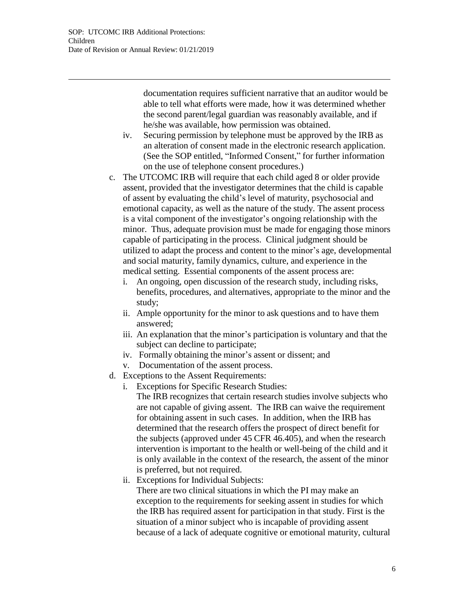documentation requires sufficient narrative that an auditor would be able to tell what efforts were made, how it was determined whether the second parent/legal guardian was reasonably available, and if he/she was available, how permission was obtained.

- iv. Securing permission by telephone must be approved by the IRB as an alteration of consent made in the electronic research application. (See the SOP entitled, "Informed Consent," for further information on the use of telephone consent procedures.)
- c. The UTCOMC IRB will require that each child aged 8 or older provide assent, provided that the investigator determines that the child is capable of assent by evaluating the child's level of maturity, psychosocial and emotional capacity, as well as the nature of the study. The assent process is a vital component of the investigator's ongoing relationship with the minor. Thus, adequate provision must be made for engaging those minors capable of participating in the process. Clinical judgment should be utilized to adapt the process and content to the minor's age, developmental and social maturity, family dynamics, culture, and experience in the medical setting. Essential components of the assent process are:
	- i. An ongoing, open discussion of the research study, including risks, benefits, procedures, and alternatives, appropriate to the minor and the study;
	- ii. Ample opportunity for the minor to ask questions and to have them answered;
	- iii. An explanation that the minor's participation is voluntary and that the subject can decline to participate;
	- iv. Formally obtaining the minor's assent or dissent; and
	- v. Documentation of the assent process.
- d. Exceptions to the Assent Requirements:
	- i. Exceptions for Specific Research Studies:
		- The IRB recognizes that certain research studies involve subjects who are not capable of giving assent. The IRB can waive the requirement for obtaining assent in such cases. In addition, when the IRB has determined that the research offers the prospect of direct benefit for the subjects (approved under 45 CFR 46.405), and when the research intervention is important to the health or well-being of the child and it is only available in the context of the research, the assent of the minor is preferred, but not required.
	- ii. Exceptions for Individual Subjects:

There are two clinical situations in which the PI may make an exception to the requirements for seeking assent in studies for which the IRB has required assent for participation in that study. First is the situation of a minor subject who is incapable of providing assent because of a lack of adequate cognitive or emotional maturity, cultural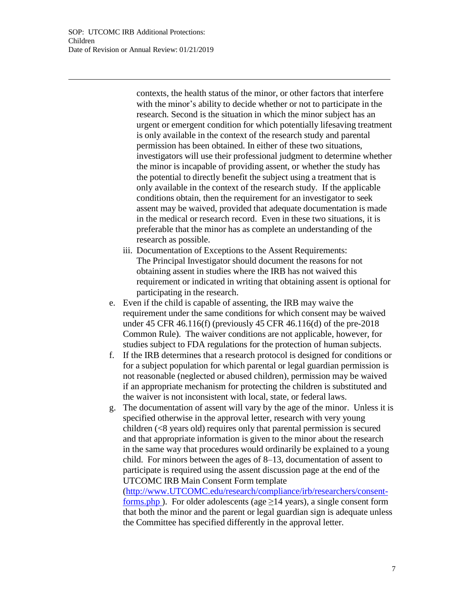contexts, the health status of the minor, or other factors that interfere with the minor's ability to decide whether or not to participate in the research. Second is the situation in which the minor subject has an urgent or emergent condition for which potentially lifesaving treatment is only available in the context of the research study and parental permission has been obtained. In either of these two situations, investigators will use their professional judgment to determine whether the minor is incapable of providing assent, or whether the study has the potential to directly benefit the subject using a treatment that is only available in the context of the research study. If the applicable conditions obtain, then the requirement for an investigator to seek assent may be waived, provided that adequate documentation is made in the medical or research record. Even in these two situations, it is preferable that the minor has as complete an understanding of the research as possible.

- iii. Documentation of Exceptions to the Assent Requirements: The Principal Investigator should document the reasons for not obtaining assent in studies where the IRB has not waived this requirement or indicated in writing that obtaining assent is optional for participating in the research.
- e. Even if the child is capable of assenting, the IRB may waive the requirement under the same conditions for which consent may be waived under 45 CFR 46.116(f) (previously 45 CFR 46.116(d) of the pre-2018 Common Rule). The waiver conditions are not applicable, however, for studies subject to FDA regulations for the protection of human subjects.
- f. If the IRB determines that a research protocol is designed for conditions or for a subject population for which parental or legal guardian permission is not reasonable (neglected or abused children), permission may be waived if an appropriate mechanism for protecting the children is substituted and the waiver is not inconsistent with local, state, or federal laws.
- g. The documentation of assent will vary by the age of the minor. Unless it is specified otherwise in the approval letter, research with very young children (<8 years old) requires only that parental permission is secured and that appropriate information is given to the minor about the research in the same way that procedures would ordinarily be explained to a young child. For minors between the ages of 8–13, documentation of assent to participate is required using the assent discussion page at the end of the UTCOMC IRB Main Consent Form template

[\(http://www.UTCOMC.edu/research/compliance/irb/researchers/consent](http://www.uthsc.edu/research/compliance/irb/researchers/consent-)forms.php ). For older adolescents (age  $\geq$ 14 years), a single consent form that both the minor and the parent or legal guardian sign is adequate unless the Committee has specified differently in the approval letter.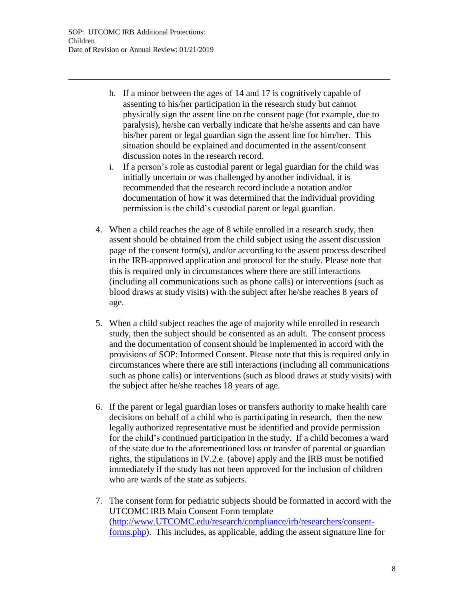- h. If a minor between the ages of 14 and 17 is cognitively capable of assenting to his/her participation in the research study but cannot physically sign the assent line on the consent page (for example, due to paralysis), he/she can verbally indicate that he/she assents and can have his/her parent or legal guardian sign the assent line for him/her. This situation should be explained and documented in the assent/consent discussion notes in the research record.
- i. If a person's role as custodial parent or legal guardian for the child was initially uncertain or was challenged by another individual, it is recommended that the research record include a notation and/or documentation of how it was determined that the individual providing permission is the child's custodial parent or legal guardian.
- 4. When a child reaches the age of 8 while enrolled in a research study, then assent should be obtained from the child subject using the assent discussion page of the consent form(s), and/or according to the assent process described in the IRB-approved application and protocol for the study. Please note that this is required only in circumstances where there are still interactions (including all communications such as phone calls) or interventions (such as blood draws at study visits) with the subject after he/she reaches 8 years of age.
- 5. When a child subject reaches the age of majority while enrolled in research study, then the subject should be consented as an adult. The consent process and the documentation of consent should be implemented in accord with the provisions of SOP: Informed Consent. Please note that this is required only in circumstances where there are still interactions (including all communications such as phone calls) or interventions (such as blood draws at study visits) with the subject after he/she reaches 18 years of age.
- 6. If the parent or legal guardian loses or transfers authority to make health care decisions on behalf of a child who is participating in research, then the new legally authorized representative must be identified and provide permission for the child's continued participation in the study. If a child becomes a ward of the state due to the aforementioned loss or transfer of parental or guardian rights, the stipulations in IV.2.e. (above) apply and the IRB must be notified immediately if the study has not been approved for the inclusion of children who are wards of the state as subjects.
- 7. The consent form for pediatric subjects should be formatted in accord with the UTCOMC IRB Main Consent Form template [\(http://www.UTCOMC.edu/research/compliance/irb/researchers/consent](http://www.uthsc.edu/research/compliance/irb/researchers/consent-)forms.php). This includes, as applicable, adding the assent signature line for